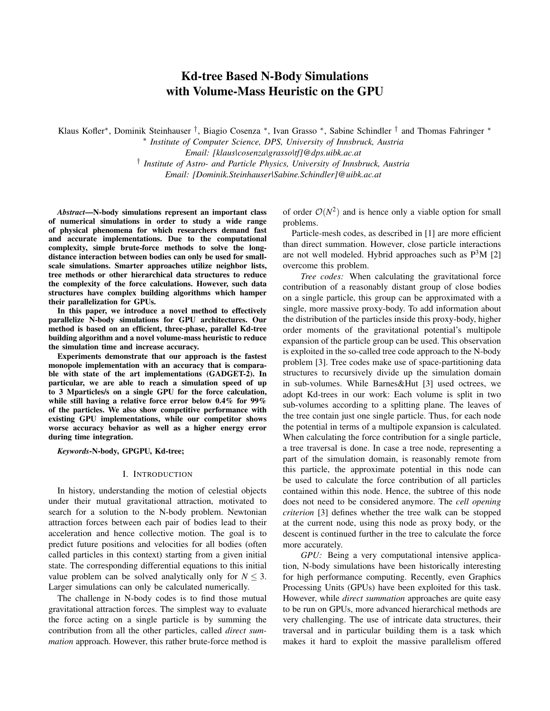# Kd-tree Based N-Body Simulations with Volume-Mass Heuristic on the GPU

Klaus Kofler\*, Dominik Steinhauser <sup>†</sup>, Biagio Cosenza \*, Ivan Grasso \*, Sabine Schindler <sup>†</sup> and Thomas Fahringer \*

∗ *Institute of Computer Science, DPS, University of Innsbruck, Austria Email: [klaus|cosenza|grasso|tf]@dps.uibk.ac.at* † *Institute of Astro- and Particle Physics, University of Innsbruck, Austria Email: [Dominik.Steinhauser|Sabine.Schindler]@uibk.ac.at*

*Abstract*—N-body simulations represent an important class of numerical simulations in order to study a wide range of physical phenomena for which researchers demand fast and accurate implementations. Due to the computational complexity, simple brute-force methods to solve the longdistance interaction between bodies can only be used for smallscale simulations. Smarter approaches utilize neighbor lists, tree methods or other hierarchical data structures to reduce the complexity of the force calculations. However, such data structures have complex building algorithms which hamper their parallelization for GPUs.

In this paper, we introduce a novel method to effectively parallelize N-body simulations for GPU architectures. Our method is based on an efficient, three-phase, parallel Kd-tree building algorithm and a novel volume-mass heuristic to reduce the simulation time and increase accuracy.

Experiments demonstrate that our approach is the fastest monopole implementation with an accuracy that is comparable with state of the art implementations (GADGET-2). In particular, we are able to reach a simulation speed of up to 3 Mparticles/s on a single GPU for the force calculation, while still having a relative force error below 0.4% for 99% of the particles. We also show competitive performance with existing GPU implementations, while our competitor shows worse accuracy behavior as well as a higher energy error during time integration.

# *Keywords*-N-body, GPGPU, Kd-tree;

# I. INTRODUCTION

In history, understanding the motion of celestial objects under their mutual gravitational attraction, motivated to search for a solution to the N-body problem. Newtonian attraction forces between each pair of bodies lead to their acceleration and hence collective motion. The goal is to predict future positions and velocities for all bodies (often called particles in this context) starting from a given initial state. The corresponding differential equations to this initial value problem can be solved analytically only for  $N \leq 3$ . Larger simulations can only be calculated numerically.

The challenge in N-body codes is to find those mutual gravitational attraction forces. The simplest way to evaluate the force acting on a single particle is by summing the contribution from all the other particles, called *direct summation* approach. However, this rather brute-force method is

of order  $O(N^2)$  and is hence only a viable option for small problems.

Particle-mesh codes, as described in [1] are more efficient than direct summation. However, close particle interactions are not well modeled. Hybrid approaches such as  $P<sup>3</sup>M$  [2] overcome this problem.

*Tree codes:* When calculating the gravitational force contribution of a reasonably distant group of close bodies on a single particle, this group can be approximated with a single, more massive proxy-body. To add information about the distribution of the particles inside this proxy-body, higher order moments of the gravitational potential's multipole expansion of the particle group can be used. This observation is exploited in the so-called tree code approach to the N-body problem [3]. Tree codes make use of space-partitioning data structures to recursively divide up the simulation domain in sub-volumes. While Barnes&Hut [3] used octrees, we adopt Kd-trees in our work: Each volume is split in two sub-volumes according to a splitting plane. The leaves of the tree contain just one single particle. Thus, for each node the potential in terms of a multipole expansion is calculated. When calculating the force contribution for a single particle, a tree traversal is done. In case a tree node, representing a part of the simulation domain, is reasonably remote from this particle, the approximate potential in this node can be used to calculate the force contribution of all particles contained within this node. Hence, the subtree of this node does not need to be considered anymore. The *cell opening criterion* [3] defines whether the tree walk can be stopped at the current node, using this node as proxy body, or the descent is continued further in the tree to calculate the force more accurately.

*GPU:* Being a very computational intensive application, N-body simulations have been historically interesting for high performance computing. Recently, even Graphics Processing Units (GPUs) have been exploited for this task. However, while *direct summation* approaches are quite easy to be run on GPUs, more advanced hierarchical methods are very challenging. The use of intricate data structures, their traversal and in particular building them is a task which makes it hard to exploit the massive parallelism offered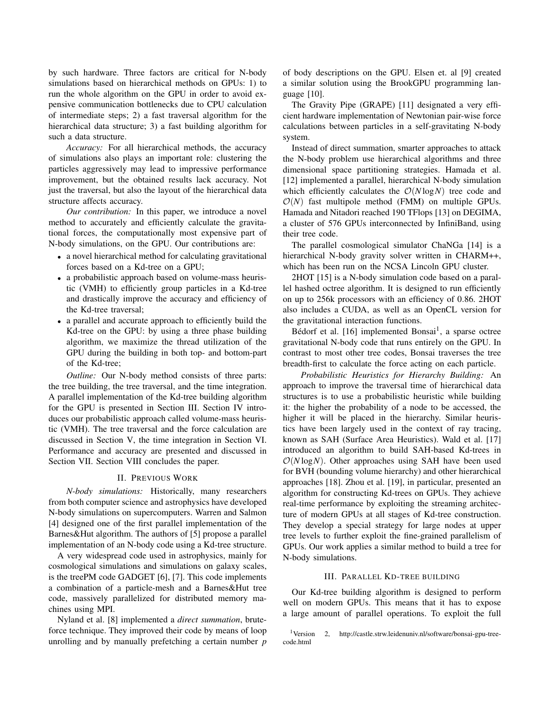by such hardware. Three factors are critical for N-body simulations based on hierarchical methods on GPUs: 1) to run the whole algorithm on the GPU in order to avoid expensive communication bottlenecks due to CPU calculation of intermediate steps; 2) a fast traversal algorithm for the hierarchical data structure; 3) a fast building algorithm for such a data structure.

*Accuracy:* For all hierarchical methods, the accuracy of simulations also plays an important role: clustering the particles aggressively may lead to impressive performance improvement, but the obtained results lack accuracy. Not just the traversal, but also the layout of the hierarchical data structure affects accuracy.

*Our contribution:* In this paper, we introduce a novel method to accurately and efficiently calculate the gravitational forces, the computationally most expensive part of N-body simulations, on the GPU. Our contributions are:

- a novel hierarchical method for calculating gravitational forces based on a Kd-tree on a GPU;
- a probabilistic approach based on volume-mass heuristic (VMH) to efficiently group particles in a Kd-tree and drastically improve the accuracy and efficiency of the Kd-tree traversal;
- a parallel and accurate approach to efficiently build the Kd-tree on the GPU: by using a three phase building algorithm, we maximize the thread utilization of the GPU during the building in both top- and bottom-part of the Kd-tree;

*Outline:* Our N-body method consists of three parts: the tree building, the tree traversal, and the time integration. A parallel implementation of the Kd-tree building algorithm for the GPU is presented in Section III. Section IV introduces our probabilistic approach called volume-mass heuristic (VMH). The tree traversal and the force calculation are discussed in Section V, the time integration in Section VI. Performance and accuracy are presented and discussed in Section VII. Section VIII concludes the paper.

#### II. PREVIOUS WORK

*N-body simulations:* Historically, many researchers from both computer science and astrophysics have developed N-body simulations on supercomputers. Warren and Salmon [4] designed one of the first parallel implementation of the Barnes&Hut algorithm. The authors of [5] propose a parallel implementation of an N-body code using a Kd-tree structure.

A very widespread code used in astrophysics, mainly for cosmological simulations and simulations on galaxy scales, is the treePM code GADGET [6], [7]. This code implements a combination of a particle-mesh and a Barnes&Hut tree code, massively parallelized for distributed memory machines using MPI.

Nyland et al. [8] implemented a *direct summation*, bruteforce technique. They improved their code by means of loop unrolling and by manually prefetching a certain number *p* of body descriptions on the GPU. Elsen et. al [9] created a similar solution using the BrookGPU programming language [10].

The Gravity Pipe (GRAPE) [11] designated a very efficient hardware implementation of Newtonian pair-wise force calculations between particles in a self-gravitating N-body system.

Instead of direct summation, smarter approaches to attack the N-body problem use hierarchical algorithms and three dimensional space partitioning strategies. Hamada et al. [12] implemented a parallel, hierarchical N-body simulation which efficiently calculates the  $O(N \log N)$  tree code and  $O(N)$  fast multipole method (FMM) on multiple GPUs. Hamada and Nitadori reached 190 TFlops [13] on DEGIMA, a cluster of 576 GPUs interconnected by InfiniBand, using their tree code.

The parallel cosmological simulator ChaNGa [14] is a hierarchical N-body gravity solver written in CHARM++, which has been run on the NCSA Lincoln GPU cluster.

2HOT [15] is a N-body simulation code based on a parallel hashed octree algorithm. It is designed to run efficiently on up to 256k processors with an efficiency of 0.86. 2HOT also includes a CUDA, as well as an OpenCL version for the gravitational interaction functions.

Bédorf et al. [16] implemented Bonsai<sup>1</sup>, a sparse octree gravitational N-body code that runs entirely on the GPU. In contrast to most other tree codes, Bonsai traverses the tree breadth-first to calculate the force acting on each particle.

*Probabilistic Heuristics for Hierarchy Building:* An approach to improve the traversal time of hierarchical data structures is to use a probabilistic heuristic while building it: the higher the probability of a node to be accessed, the higher it will be placed in the hierarchy. Similar heuristics have been largely used in the context of ray tracing, known as SAH (Surface Area Heuristics). Wald et al. [17] introduced an algorithm to build SAH-based Kd-trees in  $O(N \log N)$ . Other approaches using SAH have been used for BVH (bounding volume hierarchy) and other hierarchical approaches [18]. Zhou et al. [19], in particular, presented an algorithm for constructing Kd-trees on GPUs. They achieve real-time performance by exploiting the streaming architecture of modern GPUs at all stages of Kd-tree construction. They develop a special strategy for large nodes at upper tree levels to further exploit the fine-grained parallelism of GPUs. Our work applies a similar method to build a tree for N-body simulations.

# III. PARALLEL KD-TREE BUILDING

Our Kd-tree building algorithm is designed to perform well on modern GPUs. This means that it has to expose a large amount of parallel operations. To exploit the full

<sup>1</sup>Version 2, http://castle.strw.leidenuniv.nl/software/bonsai-gpu-treecode.html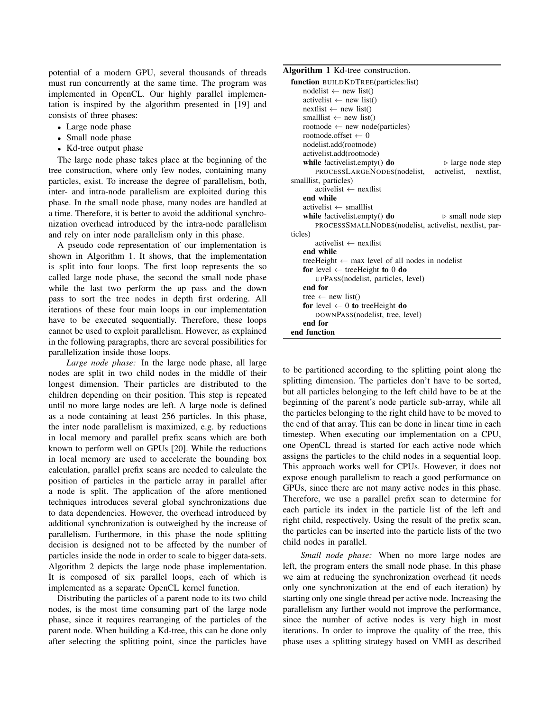potential of a modern GPU, several thousands of threads must run concurrently at the same time. The program was implemented in OpenCL. Our highly parallel implementation is inspired by the algorithm presented in [19] and consists of three phases:

- Large node phase
- Small node phase
- Kd-tree output phase

The large node phase takes place at the beginning of the tree construction, where only few nodes, containing many particles, exist. To increase the degree of parallelism, both, inter- and intra-node parallelism are exploited during this phase. In the small node phase, many nodes are handled at a time. Therefore, it is better to avoid the additional synchronization overhead introduced by the intra-node parallelism and rely on inter node parallelism only in this phase.

A pseudo code representation of our implementation is shown in Algorithm 1. It shows, that the implementation is split into four loops. The first loop represents the so called large node phase, the second the small node phase while the last two perform the up pass and the down pass to sort the tree nodes in depth first ordering. All iterations of these four main loops in our implementation have to be executed sequentially. Therefore, these loops cannot be used to exploit parallelism. However, as explained in the following paragraphs, there are several possibilities for parallelization inside those loops.

*Large node phase:* In the large node phase, all large nodes are split in two child nodes in the middle of their longest dimension. Their particles are distributed to the children depending on their position. This step is repeated until no more large nodes are left. A large node is defined as a node containing at least 256 particles. In this phase, the inter node parallelism is maximized, e.g. by reductions in local memory and parallel prefix scans which are both known to perform well on GPUs [20]. While the reductions in local memory are used to accelerate the bounding box calculation, parallel prefix scans are needed to calculate the position of particles in the particle array in parallel after a node is split. The application of the afore mentioned techniques introduces several global synchronizations due to data dependencies. However, the overhead introduced by additional synchronization is outweighed by the increase of parallelism. Furthermore, in this phase the node splitting decision is designed not to be affected by the number of particles inside the node in order to scale to bigger data-sets. Algorithm 2 depicts the large node phase implementation. It is composed of six parallel loops, each of which is implemented as a separate OpenCL kernel function.

Distributing the particles of a parent node to its two child nodes, is the most time consuming part of the large node phase, since it requires rearranging of the particles of the parent node. When building a Kd-tree, this can be done only after selecting the splitting point, since the particles have

| <b>Algorithm 1 Kd-tree construction.</b>                            |
|---------------------------------------------------------------------|
| function BUILDKDTREE(particles:list)                                |
| $p_{\text{modelist}} \leftarrow \text{new}$ list()                  |
| $\text{activelist} \leftarrow \text{new list}()$                    |
| $nextlist \leftarrow new list()$                                    |
| smalllist $\leftarrow$ new list()                                   |
| rootnode $\leftarrow$ new node(particles)                           |
| rootnode.offset $\leftarrow$ 0                                      |
| nodelist.add(rootnode)                                              |
| activelist.add(rootnode)                                            |
| while !activelist.empty $()$ do<br>$\triangleright$ large node step |
| PROCESSLARGENODES(nodelist, activelist, nextlist,                   |
| smalllist, particles)                                               |
| $\text{activelist} \leftarrow \text{nextlist}$                      |
| end while                                                           |
| $\text{activelist} \leftarrow \text{smalllist}$                     |
| while !activelist.empty() do<br>$\triangleright$ small node step    |
| PROCESSSMALLNODES(nodelist, activelist, nextlist, par-              |
| ticles)                                                             |
| $\text{activelist} \leftarrow \text{nextlist}$                      |
| end while                                                           |
| treeHeight $\leftarrow$ max level of all nodes in nodelist          |
| for level $\leftarrow$ tree Height to 0 do                          |
| UPPASS(nodelist, particles, level)                                  |
| end for                                                             |
| tree $\leftarrow$ new list()                                        |
| for level $\leftarrow$ 0 to tree Height do                          |
| DOWNPASS(nodelist, tree, level)                                     |
| end for                                                             |
| end function                                                        |

to be partitioned according to the splitting point along the splitting dimension. The particles don't have to be sorted, but all particles belonging to the left child have to be at the beginning of the parent's node particle sub-array, while all the particles belonging to the right child have to be moved to the end of that array. This can be done in linear time in each timestep. When executing our implementation on a CPU, one OpenCL thread is started for each active node which assigns the particles to the child nodes in a sequential loop. This approach works well for CPUs. However, it does not expose enough parallelism to reach a good performance on GPUs, since there are not many active nodes in this phase. Therefore, we use a parallel prefix scan to determine for each particle its index in the particle list of the left and right child, respectively. Using the result of the prefix scan, the particles can be inserted into the particle lists of the two child nodes in parallel.

*Small node phase:* When no more large nodes are left, the program enters the small node phase. In this phase we aim at reducing the synchronization overhead (it needs only one synchronization at the end of each iteration) by starting only one single thread per active node. Increasing the parallelism any further would not improve the performance, since the number of active nodes is very high in most iterations. In order to improve the quality of the tree, this phase uses a splitting strategy based on VMH as described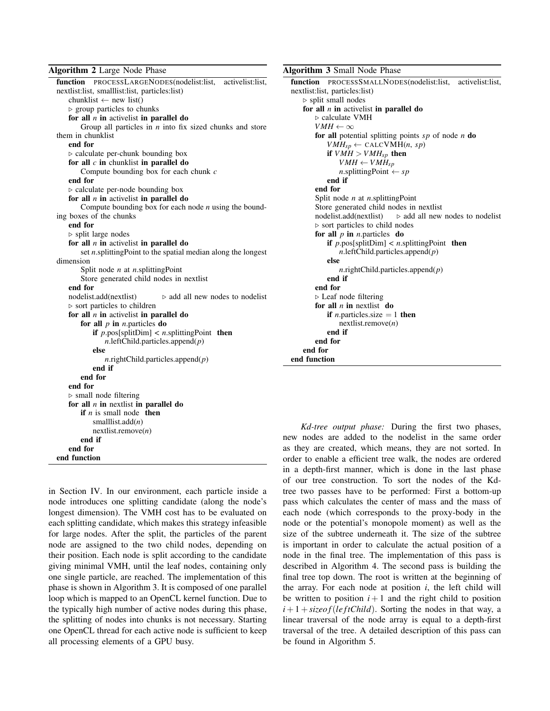Algorithm 2 Large Node Phase

| function PROCESSLARGENODES(nodelist:list, activelist:list,               |
|--------------------------------------------------------------------------|
| nextlist:list, smalllist:list, particles:list)                           |
| chunklist $\leftarrow$ new list()                                        |
| $\triangleright$ group particles to chunks                               |
| for all $n$ in activelist in parallel do                                 |
| Group all particles in $n$ into fix sized chunks and store               |
| them in chunklist                                                        |
| end for                                                                  |
| $\triangleright$ calculate per-chunk bounding box                        |
| for all $c$ in chunklist in parallel do                                  |
| Compute bounding box for each chunk $c$                                  |
| end for                                                                  |
| $\triangleright$ calculate per-node bounding box                         |
| for all $n$ in activelist in parallel do                                 |
| Compute bounding box for each node $n$ using the bound-                  |
| ing boxes of the chunks                                                  |
| end for                                                                  |
| $\triangleright$ split large nodes                                       |
| for all $n$ in activelist in parallel do                                 |
| set <i>n</i> .splittingPoint to the spatial median along the longest     |
| dimension                                                                |
| Split node $n$ at <i>n</i> .splitting Point                              |
| Store generated child nodes in nextlist                                  |
| end for                                                                  |
| nodelist.add(nextlist)<br>$\triangleright$ add all new nodes to nodelist |
| $\rhd$ sort particles to children                                        |
| for all $n$ in activelist in parallel do                                 |
| for all $p$ in <i>n</i> .particles do                                    |
| if $p.pop[splitDim] < n.splittingPoint$ then                             |
| $n$ .leftChild.particles.append $(p)$                                    |
| else                                                                     |
| $n$ .rightChild.particles.append $(p)$                                   |
| end if                                                                   |
| end for                                                                  |
| end for                                                                  |
| $\triangleright$ small node filtering                                    |
| for all $n$ in nextlist in parallel do                                   |
| <b>if</b> <i>n</i> is small node <b>then</b>                             |
| smalllist.add $(n)$                                                      |
| $nextlist$ .remove $(n)$                                                 |
| end if                                                                   |
| end for                                                                  |

in Section IV. In our environment, each particle inside a node introduces one splitting candidate (along the node's longest dimension). The VMH cost has to be evaluated on each splitting candidate, which makes this strategy infeasible for large nodes. After the split, the particles of the parent node are assigned to the two child nodes, depending on their position. Each node is split according to the candidate giving minimal VMH, until the leaf nodes, containing only one single particle, are reached. The implementation of this phase is shown in Algorithm 3. It is composed of one parallel loop which is mapped to an OpenCL kernel function. Due to the typically high number of active nodes during this phase, the splitting of nodes into chunks is not necessary. Starting one OpenCL thread for each active node is sufficient to keep all processing elements of a GPU busy.

end function

Algorithm 3 Small Node Phase

function PROCESSSMALLNODES(nodelist:list, activelist:list, nextlist:list, particles:list)  $\triangleright$  split small nodes for all *n* in activelist in parallel do  $\triangleright$  calculate VMH  $VMH \leftarrow \infty$ for all potential splitting points *sp* of node *n* do  $VMH_{sp} \leftarrow \text{CALCVMH}(n, sp)$ if  $VMH > VMH_{sp}$  then *VMH* ← *VMH*<sub>sp</sub>  $n$ *splittingPoint*  $\leftarrow$  *sp* end if end for Split node *n* at *n*.splittingPoint Store generated child nodes in nextlist<br>nodelist.add(nextlist)  $\triangleright$  add all new  $\rhd$  add all new nodes to nodelist  $\triangleright$  sort particles to child nodes for all *p* in *n*.particles do if  $p.pos[splitDim] < n.splittingPoint$  then *n*.leftChild.particles.append(*p*) else *n*.rightChild.particles.append(*p*) end if end for  $\triangleright$  Leaf node filtering for all *n* in nextlist do if *n*.particles.size  $= 1$  then nextlist.remove(*n*) end if end for end for end function

*Kd-tree output phase:* During the first two phases, new nodes are added to the nodelist in the same order as they are created, which means, they are not sorted. In order to enable a efficient tree walk, the nodes are ordered in a depth-first manner, which is done in the last phase of our tree construction. To sort the nodes of the Kdtree two passes have to be performed: First a bottom-up pass which calculates the center of mass and the mass of each node (which corresponds to the proxy-body in the node or the potential's monopole moment) as well as the size of the subtree underneath it. The size of the subtree is important in order to calculate the actual position of a node in the final tree. The implementation of this pass is described in Algorithm 4. The second pass is building the final tree top down. The root is written at the beginning of the array. For each node at position  $i$ , the left child will be written to position  $i+1$  and the right child to position  $i+1+size of (leftChild)$ . Sorting the nodes in that way, a linear traversal of the node array is equal to a depth-first traversal of the tree. A detailed description of this pass can be found in Algorithm 5.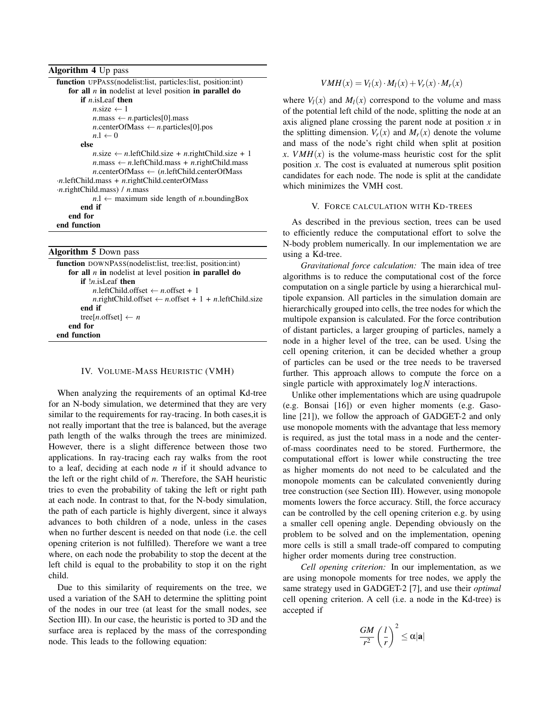Algorithm 4 Up pass

| function UPPASS(nodelist:list, particles:list, position:int)                                                                                                               |
|----------------------------------------------------------------------------------------------------------------------------------------------------------------------------|
| for all $n$ in nodelist at level position in parallel do                                                                                                                   |
| <b>if</b> $n$ is Leaf then                                                                                                                                                 |
| $n.size \leftarrow 1$                                                                                                                                                      |
| $n \text{.mass} \leftarrow n \text{.particles[0].mass}$                                                                                                                    |
| <i>n</i> .centerOfMass $\leftarrow$ <i>n</i> .particles[0].pos                                                                                                             |
| $n \to 0$                                                                                                                                                                  |
| else                                                                                                                                                                       |
| $n.size \leftarrow n.leftChild.size + n.rightChild.size + 1$                                                                                                               |
| $n \text{.mass} \leftarrow n \text{.leftChild} \text{.mass} + n \text{.rightChild} \text{.mass}$<br><i>n</i> .centerOfMass $\leftarrow$ ( <i>n</i> .leftChild.centerOfMass |
|                                                                                                                                                                            |
| $\cdot$ n.leftChild.mass + n.rightChild.centerOfMass                                                                                                                       |
| $\cdot$ <i>n</i> .rightChild.mass) / <i>n</i> .mass                                                                                                                        |
| $n.l \leftarrow$ maximum side length of <i>n</i> .boundingBox                                                                                                              |
| end if                                                                                                                                                                     |
| end for                                                                                                                                                                    |
| end function                                                                                                                                                               |

Algorithm 5 Down pass function DOWNPASS(nodelist:list, tree:list, position:int)

| <b>Tunction</b> DOWNPASS(houenst.fist, tree:fist, position:filt)                         |
|------------------------------------------------------------------------------------------|
| for all $n$ in nodelist at level position in parallel do                                 |
| <b>if</b> $ln$ is Leaf then                                                              |
| <i>n</i> .leftChild.offset $\leftarrow$ <i>n</i> .offset + 1                             |
| <i>n</i> .rightChild.offset $\leftarrow$ <i>n</i> .offset + 1 + <i>n</i> .leftChild.size |
| end if                                                                                   |
| tree[ <i>n</i> .offset] $\leftarrow$ <i>n</i>                                            |
| end for                                                                                  |
| end function                                                                             |
|                                                                                          |

## IV. VOLUME-MASS HEURISTIC (VMH)

When analyzing the requirements of an optimal Kd-tree for an N-body simulation, we determined that they are very similar to the requirements for ray-tracing. In both cases,it is not really important that the tree is balanced, but the average path length of the walks through the trees are minimized. However, there is a slight difference between those two applications. In ray-tracing each ray walks from the root to a leaf, deciding at each node *n* if it should advance to the left or the right child of *n*. Therefore, the SAH heuristic tries to even the probability of taking the left or right path at each node. In contrast to that, for the N-body simulation, the path of each particle is highly divergent, since it always advances to both children of a node, unless in the cases when no further descent is needed on that node (i.e. the cell opening criterion is not fulfilled). Therefore we want a tree where, on each node the probability to stop the decent at the left child is equal to the probability to stop it on the right child.

Due to this similarity of requirements on the tree, we used a variation of the SAH to determine the splitting point of the nodes in our tree (at least for the small nodes, see Section III). In our case, the heuristic is ported to 3D and the surface area is replaced by the mass of the corresponding node. This leads to the following equation:

$$
VMH(x) = V_l(x) \cdot M_l(x) + V_r(x) \cdot M_r(x)
$$

where  $V_l(x)$  and  $M_l(x)$  correspond to the volume and mass of the potential left child of the node, splitting the node at an axis aligned plane crossing the parent node at position *x* in the splitting dimension.  $V_r(x)$  and  $M_r(x)$  denote the volume and mass of the node's right child when split at position x. *VMH* $(x)$  is the volume-mass heuristic cost for the split position *x*. The cost is evaluated at numerous split position candidates for each node. The node is split at the candidate which minimizes the VMH cost.

# V. FORCE CALCULATION WITH KD-TREES

As described in the previous section, trees can be used to efficiently reduce the computational effort to solve the N-body problem numerically. In our implementation we are using a Kd-tree.

*Gravitational force calculation:* The main idea of tree algorithms is to reduce the computational cost of the force computation on a single particle by using a hierarchical multipole expansion. All particles in the simulation domain are hierarchically grouped into cells, the tree nodes for which the multipole expansion is calculated. For the force contribution of distant particles, a larger grouping of particles, namely a node in a higher level of the tree, can be used. Using the cell opening criterion, it can be decided whether a group of particles can be used or the tree needs to be traversed further. This approach allows to compute the force on a single particle with approximately log*N* interactions.

Unlike other implementations which are using quadrupole (e.g. Bonsai [16]) or even higher moments (e.g. Gasoline [21]), we follow the approach of GADGET-2 and only use monopole moments with the advantage that less memory is required, as just the total mass in a node and the centerof-mass coordinates need to be stored. Furthermore, the computational effort is lower while constructing the tree as higher moments do not need to be calculated and the monopole moments can be calculated conveniently during tree construction (see Section III). However, using monopole moments lowers the force accuracy. Still, the force accuracy can be controlled by the cell opening criterion e.g. by using a smaller cell opening angle. Depending obviously on the problem to be solved and on the implementation, opening more cells is still a small trade-off compared to computing higher order moments during tree construction.

*Cell opening criterion:* In our implementation, as we are using monopole moments for tree nodes, we apply the same strategy used in GADGET-2 [7], and use their *optimal* cell opening criterion. A cell (i.e. a node in the Kd-tree) is accepted if

$$
\frac{GM}{r^2}\left(\frac{l}{r}\right)^2\leq\alpha|\mathbf{a}|
$$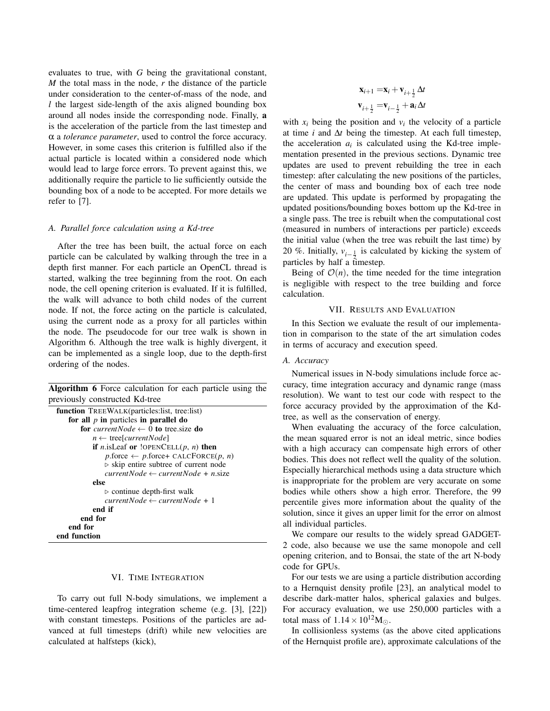evaluates to true, with *G* being the gravitational constant, *M* the total mass in the node, *r* the distance of the particle under consideration to the center-of-mass of the node, and *l* the largest side-length of the axis aligned bounding box around all nodes inside the corresponding node. Finally, a is the acceleration of the particle from the last timestep and α a *tolerance parameter*, used to control the force accuracy. However, in some cases this criterion is fulfilled also if the actual particle is located within a considered node which would lead to large force errors. To prevent against this, we additionally require the particle to lie sufficiently outside the bounding box of a node to be accepted. For more details we refer to [7].

# *A. Parallel force calculation using a Kd-tree*

After the tree has been built, the actual force on each particle can be calculated by walking through the tree in a depth first manner. For each particle an OpenCL thread is started, walking the tree beginning from the root. On each node, the cell opening criterion is evaluated. If it is fulfilled, the walk will advance to both child nodes of the current node. If not, the force acting on the particle is calculated, using the current node as a proxy for all particles within the node. The pseudocode for our tree walk is shown in Algorithm 6. Although the tree walk is highly divergent, it can be implemented as a single loop, due to the depth-first ordering of the nodes.

Algorithm 6 Force calculation for each particle using the previously constructed Kd-tree

| <b>function</b> TREEWALK(particles:list, tree:list)    |
|--------------------------------------------------------|
| for all $p$ in particles in parallel do                |
| <b>for</b> current Node $\leftarrow$ 0 to tree size do |
| $n \leftarrow tree[currentNode]$                       |
| if <i>n</i> .isLeaf or !OPENCELL $(p, n)$ then         |
| $p$ force $\leftarrow p$ force + CALCFORCE(p, n)       |
| $\triangleright$ skip entire subtree of current node   |
| $currentNode \leftarrow currentNode + n.size$          |
| else                                                   |
| $\triangleright$ continue depth-first walk             |
| $currentNode \leftarrow currentNode + 1$               |
| end if                                                 |
| end for                                                |
| end for                                                |
| end function                                           |

# VI. TIME INTEGRATION

To carry out full N-body simulations, we implement a time-centered leapfrog integration scheme (e.g. [3], [22]) with constant timesteps. Positions of the particles are advanced at full timesteps (drift) while new velocities are calculated at halfsteps (kick),

$$
\mathbf{x}_{i+1} = \mathbf{x}_i + \mathbf{v}_{i+\frac{1}{2}} \Delta t
$$

$$
\mathbf{v}_{i+\frac{1}{2}} = \mathbf{v}_{i-\frac{1}{2}} + \mathbf{a}_i \Delta t
$$

with  $x_i$  being the position and  $v_i$  the velocity of a particle at time *i* and  $\Delta t$  being the timestep. At each full timestep, the acceleration  $a_i$  is calculated using the Kd-tree implementation presented in the previous sections. Dynamic tree updates are used to prevent rebuilding the tree in each timestep: after calculating the new positions of the particles, the center of mass and bounding box of each tree node are updated. This update is performed by propagating the updated positions/bounding boxes bottom up the Kd-tree in a single pass. The tree is rebuilt when the computational cost (measured in numbers of interactions per particle) exceeds the initial value (when the tree was rebuilt the last time) by 20 %. Initially,  $v_{i-\frac{1}{2}}$  is calculated by kicking the system of particles by half a timestep.

Being of  $\mathcal{O}(n)$ , the time needed for the time integration is negligible with respect to the tree building and force calculation.

# VII. RESULTS AND EVALUATION

In this Section we evaluate the result of our implementation in comparison to the state of the art simulation codes in terms of accuracy and execution speed.

# *A. Accuracy*

Numerical issues in N-body simulations include force accuracy, time integration accuracy and dynamic range (mass resolution). We want to test our code with respect to the force accuracy provided by the approximation of the Kdtree, as well as the conservation of energy.

When evaluating the accuracy of the force calculation, the mean squared error is not an ideal metric, since bodies with a high accuracy can compensate high errors of other bodies. This does not reflect well the quality of the solution. Especially hierarchical methods using a data structure which is inappropriate for the problem are very accurate on some bodies while others show a high error. Therefore, the 99 percentile gives more information about the quality of the solution, since it gives an upper limit for the error on almost all individual particles.

We compare our results to the widely spread GADGET-2 code, also because we use the same monopole and cell opening criterion, and to Bonsai, the state of the art N-body code for GPUs.

For our tests we are using a particle distribution according to a Hernquist density profile [23], an analytical model to describe dark-matter halos, spherical galaxies and bulges. For accuracy evaluation, we use 250,000 particles with a total mass of  $1.14 \times 10^{12} M_{\odot}$ .

In collisionless systems (as the above cited applications of the Hernquist profile are), approximate calculations of the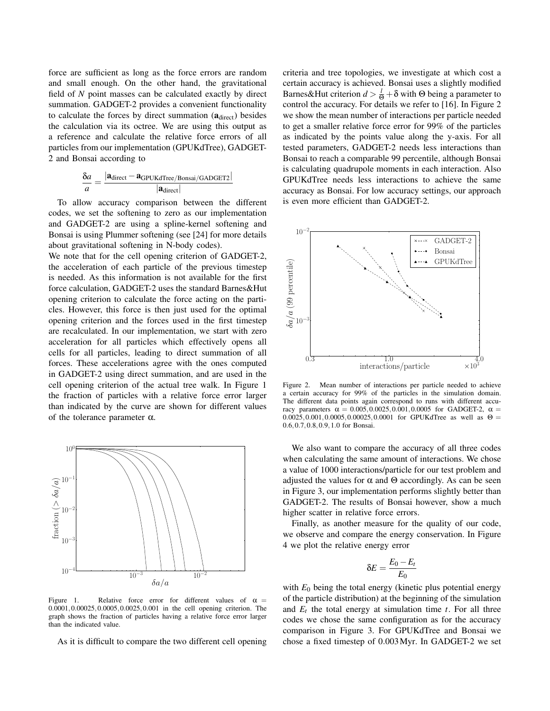force are sufficient as long as the force errors are random and small enough. On the other hand, the gravitational field of *N* point masses can be calculated exactly by direct summation. GADGET-2 provides a convenient functionality to calculate the forces by direct summation  $(a_{\text{direct}})$  besides the calculation via its octree. We are using this output as a reference and calculate the relative force errors of all particles from our implementation (GPUKdTree), GADGET-2 and Bonsai according to

$$
\frac{\delta a}{a} = \frac{|\mathbf{a}_{\text{direct}} - \mathbf{a}_{\text{GPUKdTree}/\text{Bonsai}/\text{GADGET2}}|}{|\mathbf{a}_{\text{direct}}|}
$$

To allow accuracy comparison between the different codes, we set the softening to zero as our implementation and GADGET-2 are using a spline-kernel softening and Bonsai is using Plummer softening (see [24] for more details about gravitational softening in N-body codes).

We note that for the cell opening criterion of GADGET-2, the acceleration of each particle of the previous timestep is needed. As this information is not available for the first force calculation, GADGET-2 uses the standard Barnes&Hut opening criterion to calculate the force acting on the particles. However, this force is then just used for the optimal opening criterion and the forces used in the first timestep are recalculated. In our implementation, we start with zero acceleration for all particles which effectively opens all cells for all particles, leading to direct summation of all forces. These accelerations agree with the ones computed in GADGET-2 using direct summation, and are used in the cell opening criterion of the actual tree walk. In Figure 1 the fraction of particles with a relative force error larger than indicated by the curve are shown for different values of the tolerance parameter  $\alpha$ .



Figure 1. Relative force error for different values of  $\alpha =$ 0.0001,0.00025,0.0005,0.0025,0.001 in the cell opening criterion. The graph shows the fraction of particles having a relative force error larger than the indicated value.

As it is difficult to compare the two different cell opening

criteria and tree topologies, we investigate at which cost a certain accuracy is achieved. Bonsai uses a slightly modified Barnes&Hut criterion  $d > \frac{l}{\Theta} + \delta$  with  $\Theta$  being a parameter to control the accuracy. For details we refer to [16]. In Figure 2 we show the mean number of interactions per particle needed to get a smaller relative force error for 99% of the particles as indicated by the points value along the y-axis. For all tested parameters, GADGET-2 needs less interactions than Bonsai to reach a comparable 99 percentile, although Bonsai is calculating quadrupole moments in each interaction. Also GPUKdTree needs less interactions to achieve the same accuracy as Bonsai. For low accuracy settings, our approach is even more efficient than GADGET-2.



Figure 2. Mean number of interactions per particle needed to achieve a certain accuracy for 99% of the particles in the simulation domain. The different data points again correspond to runs with different accuracy parameters  $\alpha = 0.005, 0.0025, 0.001, 0.0005$  for GADGET-2,  $\alpha =$  $0.0025, 0.001, 0.0005, 0.00025, 0.0001$  for GPUKdTree as well as  $\Theta =$ 0.6,0.7,0.8,0.9,1.0 for Bonsai.

We also want to compare the accuracy of all three codes when calculating the same amount of interactions. We chose a value of 1000 interactions/particle for our test problem and adjusted the values for  $\alpha$  and  $\Theta$  accordingly. As can be seen in Figure 3, our implementation performs slightly better than GADGET-2. The results of Bonsai however, show a much higher scatter in relative force errors.

Finally, as another measure for the quality of our code, we observe and compare the energy conservation. In Figure 4 we plot the relative energy error

$$
\delta E = \frac{E_0 - E_t}{E_0}
$$

with  $E_0$  being the total energy (kinetic plus potential energy of the particle distribution) at the beginning of the simulation and  $E_t$  the total energy at simulation time  $t$ . For all three codes we chose the same configuration as for the accuracy comparison in Figure 3. For GPUKdTree and Bonsai we chose a fixed timestep of 0.003Myr. In GADGET-2 we set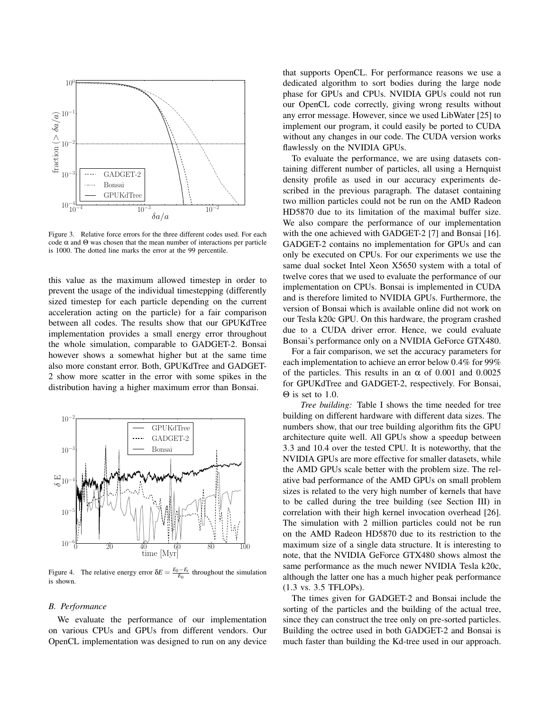

Figure 3. Relative force errors for the three different codes used. For each code α and Θ was chosen that the mean number of interactions per particle is 1000. The dotted line marks the error at the 99 percentile.

this value as the maximum allowed timestep in order to prevent the usage of the individual timestepping (differently sized timestep for each particle depending on the current acceleration acting on the particle) for a fair comparison between all codes. The results show that our GPUKdTree implementation provides a small energy error throughout the whole simulation, comparable to GADGET-2. Bonsai however shows a somewhat higher but at the same time also more constant error. Both, GPUKdTree and GADGET-2 show more scatter in the error with some spikes in the distribution having a higher maximum error than Bonsai.



Figure 4. The relative energy error  $\delta E = \frac{E_0 - E_t}{E_0}$  throughout the simulation is shown.

#### *B. Performance*

We evaluate the performance of our implementation on various CPUs and GPUs from different vendors. Our OpenCL implementation was designed to run on any device that supports OpenCL. For performance reasons we use a dedicated algorithm to sort bodies during the large node phase for GPUs and CPUs. NVIDIA GPUs could not run our OpenCL code correctly, giving wrong results without any error message. However, since we used LibWater [25] to implement our program, it could easily be ported to CUDA without any changes in our code. The CUDA version works flawlessly on the NVIDIA GPUs.

To evaluate the performance, we are using datasets containing different number of particles, all using a Hernquist density profile as used in our accuracy experiments described in the previous paragraph. The dataset containing two million particles could not be run on the AMD Radeon HD5870 due to its limitation of the maximal buffer size. We also compare the performance of our implementation with the one achieved with GADGET-2 [7] and Bonsai [16]. GADGET-2 contains no implementation for GPUs and can only be executed on CPUs. For our experiments we use the same dual socket Intel Xeon X5650 system with a total of twelve cores that we used to evaluate the performance of our implementation on CPUs. Bonsai is implemented in CUDA and is therefore limited to NVIDIA GPUs. Furthermore, the version of Bonsai which is available online did not work on our Tesla k20c GPU. On this hardware, the program crashed due to a CUDA driver error. Hence, we could evaluate Bonsai's performance only on a NVIDIA GeForce GTX480.

For a fair comparison, we set the accuracy parameters for each implementation to achieve an error below 0.4% for 99% of the particles. This results in an  $\alpha$  of 0.001 and 0.0025 for GPUKdTree and GADGET-2, respectively. For Bonsai, Θ is set to 1.0.

*Tree building:* Table I shows the time needed for tree building on different hardware with different data sizes. The numbers show, that our tree building algorithm fits the GPU architecture quite well. All GPUs show a speedup between 3.3 and 10.4 over the tested CPU. It is noteworthy, that the NVIDIA GPUs are more effective for smaller datasets, while the AMD GPUs scale better with the problem size. The relative bad performance of the AMD GPUs on small problem sizes is related to the very high number of kernels that have to be called during the tree building (see Section III) in correlation with their high kernel invocation overhead [26]. The simulation with 2 million particles could not be run on the AMD Radeon HD5870 due to its restriction to the maximum size of a single data structure. It is interesting to note, that the NVIDIA GeForce GTX480 shows almost the same performance as the much newer NVIDIA Tesla k20c, although the latter one has a much higher peak performance (1.3 vs. 3.5 TFLOPs).

The times given for GADGET-2 and Bonsai include the sorting of the particles and the building of the actual tree, since they can construct the tree only on pre-sorted particles. Building the octree used in both GADGET-2 and Bonsai is much faster than building the Kd-tree used in our approach.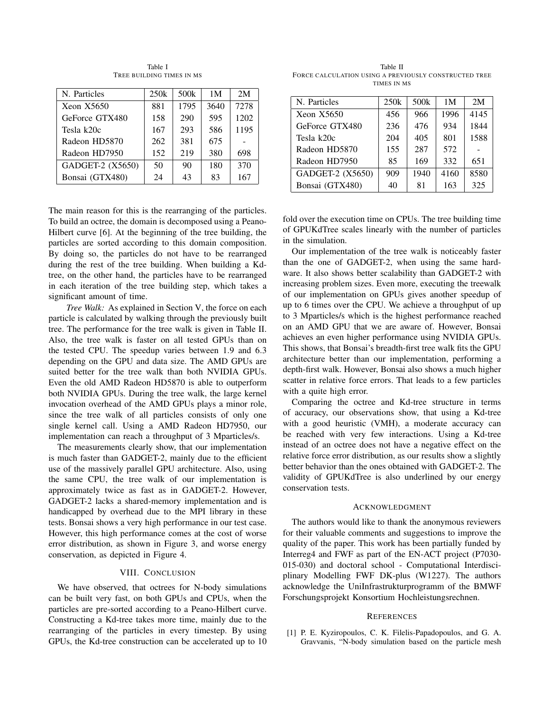N. Particles 250k 500k 1M 2M Xeon X5650 881 1795 3640 7278 GeForce GTX480 | 158 | 290 | 595 | 1202 Tesla k20c 167 | 293 | 586 | 1195 Radeon HD5870 | 262 | 381 | 675 Radeon HD7950 | 152 | 219 | 380 | 698 GADGET-2  $(X5650)$  | 50 | 90 | 180 | 370 Bonsai (GTX480) | 24 | 43 | 83 | 167

Table I TREE BUILDING TIMES IN MS

The main reason for this is the rearranging of the particles. To build an octree, the domain is decomposed using a Peano-Hilbert curve [6]. At the beginning of the tree building, the particles are sorted according to this domain composition. By doing so, the particles do not have to be rearranged during the rest of the tree building. When building a Kdtree, on the other hand, the particles have to be rearranged in each iteration of the tree building step, which takes a significant amount of time.

*Tree Walk:* As explained in Section V, the force on each particle is calculated by walking through the previously built tree. The performance for the tree walk is given in Table II. Also, the tree walk is faster on all tested GPUs than on the tested CPU. The speedup varies between 1.9 and 6.3 depending on the GPU and data size. The AMD GPUs are suited better for the tree walk than both NVIDIA GPUs. Even the old AMD Radeon HD5870 is able to outperform both NVIDIA GPUs. During the tree walk, the large kernel invocation overhead of the AMD GPUs plays a minor role, since the tree walk of all particles consists of only one single kernel call. Using a AMD Radeon HD7950, our implementation can reach a throughput of 3 Mparticles/s.

The measurements clearly show, that our implementation is much faster than GADGET-2, mainly due to the efficient use of the massively parallel GPU architecture. Also, using the same CPU, the tree walk of our implementation is approximately twice as fast as in GADGET-2. However, GADGET-2 lacks a shared-memory implementation and is handicapped by overhead due to the MPI library in these tests. Bonsai shows a very high performance in our test case. However, this high performance comes at the cost of worse error distribution, as shown in Figure 3, and worse energy conservation, as depicted in Figure 4.

# VIII. CONCLUSION

We have observed, that octrees for N-body simulations can be built very fast, on both GPUs and CPUs, when the particles are pre-sorted according to a Peano-Hilbert curve. Constructing a Kd-tree takes more time, mainly due to the rearranging of the particles in every timestep. By using GPUs, the Kd-tree construction can be accelerated up to 10

Table II FORCE CALCULATION USING A PREVIOUSLY CONSTRUCTED TREE TIMES IN MS

| N. Particles     | 250k | 500k | 1 M  | 2M   |
|------------------|------|------|------|------|
| Xeon $X5650$     | 456  | 966  | 1996 | 4145 |
| GeForce GTX480   | 236  | 476  | 934  | 1844 |
| Tesla k20c       | 204  | 405  | 801  | 1588 |
| Radeon HD5870    | 155  | 287  | 572  |      |
| Radeon HD7950    | 85   | 169  | 332  | 651  |
| GADGET-2 (X5650) | 909  | 1940 | 4160 | 8580 |
| Bonsai (GTX480)  | 40   | 81   | 163  | 325  |

fold over the execution time on CPUs. The tree building time of GPUKdTree scales linearly with the number of particles in the simulation.

Our implementation of the tree walk is noticeably faster than the one of GADGET-2, when using the same hardware. It also shows better scalability than GADGET-2 with increasing problem sizes. Even more, executing the treewalk of our implementation on GPUs gives another speedup of up to 6 times over the CPU. We achieve a throughput of up to 3 Mparticles/s which is the highest performance reached on an AMD GPU that we are aware of. However, Bonsai achieves an even higher performance using NVIDIA GPUs. This shows, that Bonsai's breadth-first tree walk fits the GPU architecture better than our implementation, performing a depth-first walk. However, Bonsai also shows a much higher scatter in relative force errors. That leads to a few particles with a quite high error.

Comparing the octree and Kd-tree structure in terms of accuracy, our observations show, that using a Kd-tree with a good heuristic (VMH), a moderate accuracy can be reached with very few interactions. Using a Kd-tree instead of an octree does not have a negative effect on the relative force error distribution, as our results show a slightly better behavior than the ones obtained with GADGET-2. The validity of GPUKdTree is also underlined by our energy conservation tests.

#### ACKNOWLEDGMENT

The authors would like to thank the anonymous reviewers for their valuable comments and suggestions to improve the quality of the paper. This work has been partially funded by Interreg4 and FWF as part of the EN-ACT project (P7030- 015-030) and doctoral school - Computational Interdisciplinary Modelling FWF DK-plus (W1227). The authors acknowledge the UniInfrastrukturprogramm of the BMWF Forschungsprojekt Konsortium Hochleistungsrechnen.

#### **REFERENCES**

[1] P. E. Kyziropoulos, C. K. Filelis-Papadopoulos, and G. A. Gravvanis, "N-body simulation based on the particle mesh